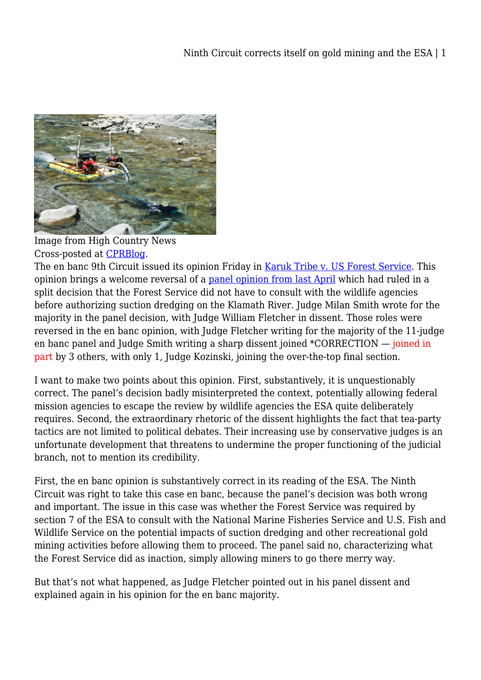

Image from High Country News Cross-posted at [CPRBlog.](http://www.progressivereform.org/CPRBlog.cfm?idBlog=B78EBB85-AE37-BB54-6E1B354EB1A6A3D3)

The en banc 9th Circuit issued its opinion Friday in [Karuk Tribe v. US Forest Service](http://www.ca9.uscourts.gov/datastore/opinions/2012/06/01/05-16801.pdf). This opinion brings a welcome reversal of a [panel opinion from last April](http://www.ca9.uscourts.gov/datastore/opinions/2011/04/07/05-16801.pdf) which had ruled in a split decision that the Forest Service did not have to consult with the wildlife agencies before authorizing suction dredging on the Klamath River. Judge Milan Smith wrote for the majority in the panel decision, with Judge William Fletcher in dissent. Those roles were reversed in the en banc opinion, with Judge Fletcher writing for the majority of the 11-judge en banc panel and Judge Smith writing a sharp dissent joined \*CORRECTION — joined in part by 3 others, with only 1, Judge Kozinski, joining the over-the-top final section.

I want to make two points about this opinion. First, substantively, it is unquestionably correct. The panel's decision badly misinterpreted the context, potentially allowing federal mission agencies to escape the review by wildlife agencies the ESA quite deliberately requires. Second, the extraordinary rhetoric of the dissent highlights the fact that tea-party tactics are not limited to political debates. Their increasing use by conservative judges is an unfortunate development that threatens to undermine the proper functioning of the judicial branch, not to mention its credibility.

First, the en banc opinion is substantively correct in its reading of the ESA. The Ninth Circuit was right to take this case en banc, because the panel's decision was both wrong and important. The issue in this case was whether the Forest Service was required by section 7 of the ESA to consult with the National Marine Fisheries Service and U.S. Fish and Wildlife Service on the potential impacts of suction dredging and other recreational gold mining activities before allowing them to proceed. The panel said no, characterizing what the Forest Service did as inaction, simply allowing miners to go there merry way.

But that's not what happened, as Judge Fletcher pointed out in his panel dissent and explained again in his opinion for the en banc majority.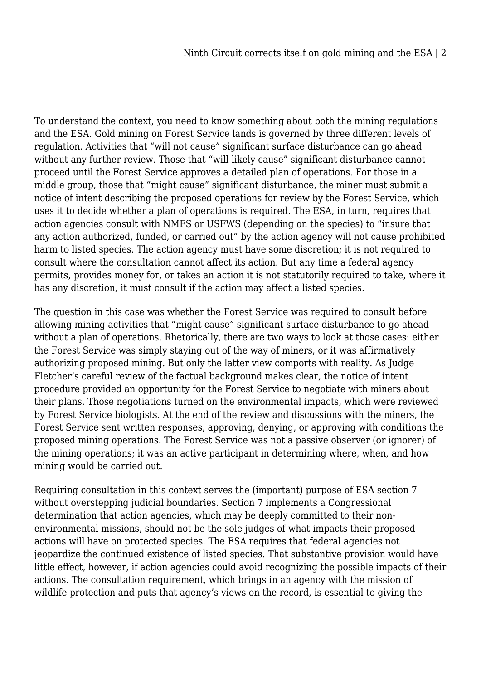To understand the context, you need to know something about both the mining regulations and the ESA. Gold mining on Forest Service lands is governed by three different levels of regulation. Activities that "will not cause" significant surface disturbance can go ahead without any further review. Those that "will likely cause" significant disturbance cannot proceed until the Forest Service approves a detailed plan of operations. For those in a middle group, those that "might cause" significant disturbance, the miner must submit a notice of intent describing the proposed operations for review by the Forest Service, which uses it to decide whether a plan of operations is required. The ESA, in turn, requires that action agencies consult with NMFS or USFWS (depending on the species) to "insure that any action authorized, funded, or carried out" by the action agency will not cause prohibited harm to listed species. The action agency must have some discretion; it is not required to consult where the consultation cannot affect its action. But any time a federal agency permits, provides money for, or takes an action it is not statutorily required to take, where it has any discretion, it must consult if the action may affect a listed species.

The question in this case was whether the Forest Service was required to consult before allowing mining activities that "might cause" significant surface disturbance to go ahead without a plan of operations. Rhetorically, there are two ways to look at those cases: either the Forest Service was simply staying out of the way of miners, or it was affirmatively authorizing proposed mining. But only the latter view comports with reality. As Judge Fletcher's careful review of the factual background makes clear, the notice of intent procedure provided an opportunity for the Forest Service to negotiate with miners about their plans. Those negotiations turned on the environmental impacts, which were reviewed by Forest Service biologists. At the end of the review and discussions with the miners, the Forest Service sent written responses, approving, denying, or approving with conditions the proposed mining operations. The Forest Service was not a passive observer (or ignorer) of the mining operations; it was an active participant in determining where, when, and how mining would be carried out.

Requiring consultation in this context serves the (important) purpose of ESA section 7 without overstepping judicial boundaries. Section 7 implements a Congressional determination that action agencies, which may be deeply committed to their nonenvironmental missions, should not be the sole judges of what impacts their proposed actions will have on protected species. The ESA requires that federal agencies not jeopardize the continued existence of listed species. That substantive provision would have little effect, however, if action agencies could avoid recognizing the possible impacts of their actions. The consultation requirement, which brings in an agency with the mission of wildlife protection and puts that agency's views on the record, is essential to giving the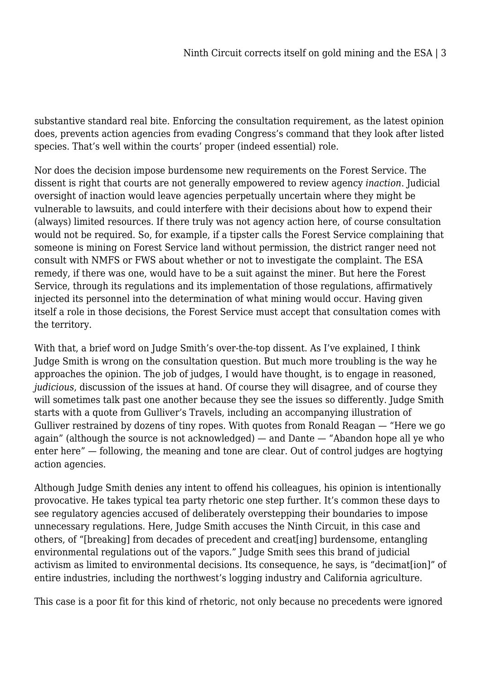substantive standard real bite. Enforcing the consultation requirement, as the latest opinion does, prevents action agencies from evading Congress's command that they look after listed species. That's well within the courts' proper (indeed essential) role.

Nor does the decision impose burdensome new requirements on the Forest Service. The dissent is right that courts are not generally empowered to review agency *inaction*. Judicial oversight of inaction would leave agencies perpetually uncertain where they might be vulnerable to lawsuits, and could interfere with their decisions about how to expend their (always) limited resources. If there truly was not agency action here, of course consultation would not be required. So, for example, if a tipster calls the Forest Service complaining that someone is mining on Forest Service land without permission, the district ranger need not consult with NMFS or FWS about whether or not to investigate the complaint. The ESA remedy, if there was one, would have to be a suit against the miner. But here the Forest Service, through its regulations and its implementation of those regulations, affirmatively injected its personnel into the determination of what mining would occur. Having given itself a role in those decisions, the Forest Service must accept that consultation comes with the territory.

With that, a brief word on Judge Smith's over-the-top dissent. As I've explained, I think Judge Smith is wrong on the consultation question. But much more troubling is the way he approaches the opinion. The job of judges, I would have thought, is to engage in reasoned, *judicious*, discussion of the issues at hand. Of course they will disagree, and of course they will sometimes talk past one another because they see the issues so differently. Judge Smith starts with a quote from Gulliver's Travels, including an accompanying illustration of Gulliver restrained by dozens of tiny ropes. With quotes from Ronald Reagan — "Here we go again" (although the source is not acknowledged) — and Dante — "Abandon hope all ye who enter here" — following, the meaning and tone are clear. Out of control judges are hogtying action agencies.

Although Judge Smith denies any intent to offend his colleagues, his opinion is intentionally provocative. He takes typical tea party rhetoric one step further. It's common these days to see regulatory agencies accused of deliberately overstepping their boundaries to impose unnecessary regulations. Here, Judge Smith accuses the Ninth Circuit, in this case and others, of "[breaking] from decades of precedent and creat[ing] burdensome, entangling environmental regulations out of the vapors." Judge Smith sees this brand of judicial activism as limited to environmental decisions. Its consequence, he says, is "decimat[ion]" of entire industries, including the northwest's logging industry and California agriculture.

This case is a poor fit for this kind of rhetoric, not only because no precedents were ignored